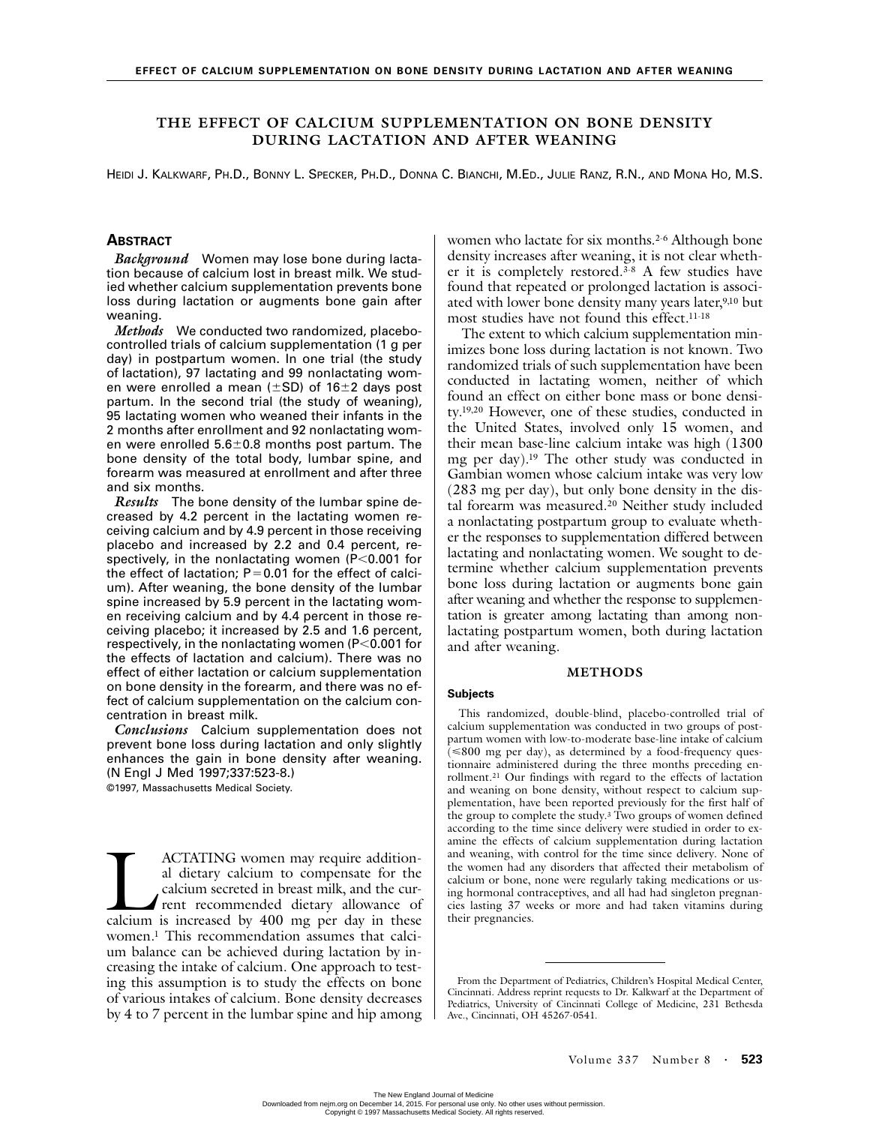# **THE EFFECT OF CALCIUM SUPPLEMENTATION ON BONE DENSITY DURING LACTATION AND AFTER WEANING**

HEIDI J. KALKWARF, PH.D., BONNY L. SPECKER, PH.D., DONNA C. BIANCHI, M.ED., JULIE RANZ, R.N., AND MONA HO, M.S.

## **ABSTRACT**

*Background* Women may lose bone during lactation because of calcium lost in breast milk. We studied whether calcium supplementation prevents bone loss during lactation or augments bone gain after weaning.

*Methods* We conducted two randomized, placebocontrolled trials of calcium supplementation (1 g per day) in postpartum women. In one trial (the study of lactation), 97 lactating and 99 nonlactating women were enrolled a mean ( $\pm$ SD) of 16 $\pm$ 2 days post partum. In the second trial (the study of weaning), 95 lactating women who weaned their infants in the 2 months after enrollment and 92 nonlactating women were enrolled  $5.6\pm0.8$  months post partum. The bone density of the total body, lumbar spine, and forearm was measured at enrollment and after three and six months.

*Results* The bone density of the lumbar spine decreased by 4.2 percent in the lactating women receiving calcium and by 4.9 percent in those receiving placebo and increased by 2.2 and 0.4 percent, respectively, in the nonlactating women  $(P<0.001$  for the effect of lactation;  $P=0.01$  for the effect of calcium). After weaning, the bone density of the lumbar spine increased by 5.9 percent in the lactating women receiving calcium and by 4.4 percent in those receiving placebo; it increased by 2.5 and 1.6 percent, respectively, in the nonlactating women  $(P<0.001$  for the effects of lactation and calcium). There was no effect of either lactation or calcium supplementation on bone density in the forearm, and there was no effect of calcium supplementation on the calcium concentration in breast milk.

*Conclusions* Calcium supplementation does not prevent bone loss during lactation and only slightly enhances the gain in bone density after weaning. (N Engl J Med 1997;337:523-8.) ©1997, Massachusetts Medical Society.

ACTATING women may require additional dietary calcium to compensate for the calcium secreted in breast milk, and the current recommended dietary allowance of ACTATING women may require additional dietary calcium to compensate for the calcium secreted in breast milk, and the current recommended dietary allowance of calcium is increased by 400 mg per day in these women.1 This recommendation assumes that calcium balance can be achieved during lactation by increasing the intake of calcium. One approach to testing this assumption is to study the effects on bone of various intakes of calcium. Bone density decreases by 4 to 7 percent in the lumbar spine and hip among women who lactate for six months.<sup>2-6</sup> Although bone density increases after weaning, it is not clear whether it is completely restored.3-8 A few studies have found that repeated or prolonged lactation is associated with lower bone density many years later,<sup>9,10</sup> but most studies have not found this effect.11-18

The extent to which calcium supplementation minimizes bone loss during lactation is not known. Two randomized trials of such supplementation have been conducted in lactating women, neither of which found an effect on either bone mass or bone density.19,20 However, one of these studies, conducted in the United States, involved only 15 women, and their mean base-line calcium intake was high (1300 mg per day).19 The other study was conducted in Gambian women whose calcium intake was very low (283 mg per day), but only bone density in the distal forearm was measured.20 Neither study included a nonlactating postpartum group to evaluate whether the responses to supplementation differed between lactating and nonlactating women. We sought to determine whether calcium supplementation prevents bone loss during lactation or augments bone gain after weaning and whether the response to supplementation is greater among lactating than among nonlactating postpartum women, both during lactation and after weaning.

### **METHODS**

#### **Subjects**

This randomized, double-blind, placebo-controlled trial of calcium supplementation was conducted in two groups of postpartum women with low-to-moderate base-line intake of calcium  $\leq$ 800 mg per day), as determined by a food-frequency questionnaire administered during the three months preceding enrollment.21 Our findings with regard to the effects of lactation and weaning on bone density, without respect to calcium supplementation, have been reported previously for the first half of the group to complete the study.<sup>3</sup> Two groups of women defined according to the time since delivery were studied in order to examine the effects of calcium supplementation during lactation and weaning, with control for the time since delivery. None of the women had any disorders that affected their metabolism of calcium or bone, none were regularly taking medications or using hormonal contraceptives, and all had had singleton pregnancies lasting 37 weeks or more and had taken vitamins during their pregnancies.

From the Department of Pediatrics, Children's Hospital Medical Center, Cincinnati. Address reprint requests to Dr. Kalkwarf at the Department of Pediatrics, University of Cincinnati College of Medicine, 231 Bethesda Ave., Cincinnati, OH 45267-0541.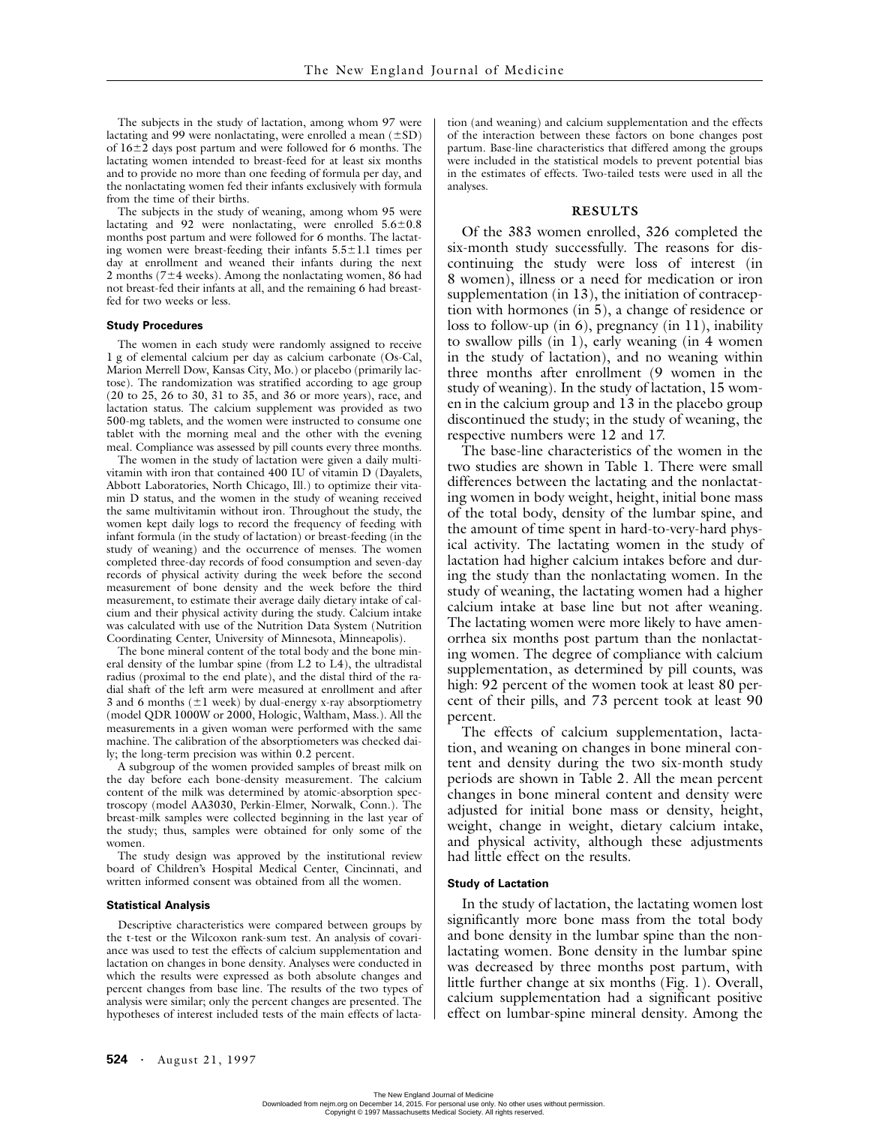The subjects in the study of lactation, among whom 97 were lactating and 99 were nonlactating, were enrolled a mean  $(\pm SD)$ of 16-2 days post partum and were followed for 6 months. The lactating women intended to breast-feed for at least six months and to provide no more than one feeding of formula per day, and the nonlactating women fed their infants exclusively with formula from the time of their births.

The subjects in the study of weaning, among whom 95 were lactating and 92 were nonlactating, were enrolled  $5.6 \pm 0.8$ months post partum and were followed for 6 months. The lactating women were breast-feeding their infants  $5.5 \pm 1.1$  times per day at enrollment and weaned their infants during the next 2 months ( $7\pm4$  weeks). Among the nonlactating women, 86 had not breast-fed their infants at all, and the remaining 6 had breastfed for two weeks or less.

### **Study Procedures**

The women in each study were randomly assigned to receive 1 g of elemental calcium per day as calcium carbonate (Os-Cal, Marion Merrell Dow, Kansas City, Mo.) or placebo (primarily lactose). The randomization was stratified according to age group (20 to 25, 26 to 30, 31 to 35, and 36 or more years), race, and lactation status. The calcium supplement was provided as two 500-mg tablets, and the women were instructed to consume one tablet with the morning meal and the other with the evening meal. Compliance was assessed by pill counts every three months.

The women in the study of lactation were given a daily multivitamin with iron that contained 400 IU of vitamin D (Dayalets, Abbott Laboratories, North Chicago, Ill.) to optimize their vitamin D status, and the women in the study of weaning received the same multivitamin without iron. Throughout the study, the women kept daily logs to record the frequency of feeding with infant formula (in the study of lactation) or breast-feeding (in the study of weaning) and the occurrence of menses. The women completed three-day records of food consumption and seven-day records of physical activity during the week before the second measurement of bone density and the week before the third measurement, to estimate their average daily dietary intake of calcium and their physical activity during the study. Calcium intake was calculated with use of the Nutrition Data System (Nutrition Coordinating Center, University of Minnesota, Minneapolis).

The bone mineral content of the total body and the bone mineral density of the lumbar spine (from L2 to L4), the ultradistal radius (proximal to the end plate), and the distal third of the radial shaft of the left arm were measured at enrollment and after 3 and 6 months  $(\pm 1$  week) by dual-energy x-ray absorptiometry (model QDR 1000W or 2000, Hologic, Waltham, Mass.). All the measurements in a given woman were performed with the same machine. The calibration of the absorptiometers was checked daily; the long-term precision was within 0.2 percent.

A subgroup of the women provided samples of breast milk on the day before each bone-density measurement. The calcium content of the milk was determined by atomic-absorption spectroscopy (model AA3030, Perkin-Elmer, Norwalk, Conn.). The breast-milk samples were collected beginning in the last year of the study; thus, samples were obtained for only some of the women.

The study design was approved by the institutional review board of Children's Hospital Medical Center, Cincinnati, and written informed consent was obtained from all the women.

#### **Statistical Analysis**

Descriptive characteristics were compared between groups by the t-test or the Wilcoxon rank-sum test. An analysis of covariance was used to test the effects of calcium supplementation and lactation on changes in bone density. Analyses were conducted in which the results were expressed as both absolute changes and percent changes from base line. The results of the two types of analysis were similar; only the percent changes are presented. The hypotheses of interest included tests of the main effects of lactation (and weaning) and calcium supplementation and the effects of the interaction between these factors on bone changes post partum. Base-line characteristics that differed among the groups were included in the statistical models to prevent potential bias in the estimates of effects. Two-tailed tests were used in all the analyses.

### **RESULTS**

Of the 383 women enrolled, 326 completed the six-month study successfully. The reasons for discontinuing the study were loss of interest (in 8 women), illness or a need for medication or iron supplementation (in 13), the initiation of contraception with hormones (in 5), a change of residence or loss to follow-up (in 6), pregnancy (in 11), inability to swallow pills (in 1), early weaning (in 4 women in the study of lactation), and no weaning within three months after enrollment (9 women in the study of weaning). In the study of lactation, 15 women in the calcium group and 13 in the placebo group discontinued the study; in the study of weaning, the respective numbers were 12 and 17.

The base-line characteristics of the women in the two studies are shown in Table 1. There were small differences between the lactating and the nonlactating women in body weight, height, initial bone mass of the total body, density of the lumbar spine, and the amount of time spent in hard-to-very-hard physical activity. The lactating women in the study of lactation had higher calcium intakes before and during the study than the nonlactating women. In the study of weaning, the lactating women had a higher calcium intake at base line but not after weaning. The lactating women were more likely to have amenorrhea six months post partum than the nonlactating women. The degree of compliance with calcium supplementation, as determined by pill counts, was high: 92 percent of the women took at least 80 percent of their pills, and 73 percent took at least 90 percent.

The effects of calcium supplementation, lactation, and weaning on changes in bone mineral content and density during the two six-month study periods are shown in Table 2. All the mean percent changes in bone mineral content and density were adjusted for initial bone mass or density, height, weight, change in weight, dietary calcium intake, and physical activity, although these adjustments had little effect on the results.

### **Study of Lactation**

In the study of lactation, the lactating women lost significantly more bone mass from the total body and bone density in the lumbar spine than the nonlactating women. Bone density in the lumbar spine was decreased by three months post partum, with little further change at six months (Fig. 1). Overall, calcium supplementation had a significant positive effect on lumbar-spine mineral density. Among the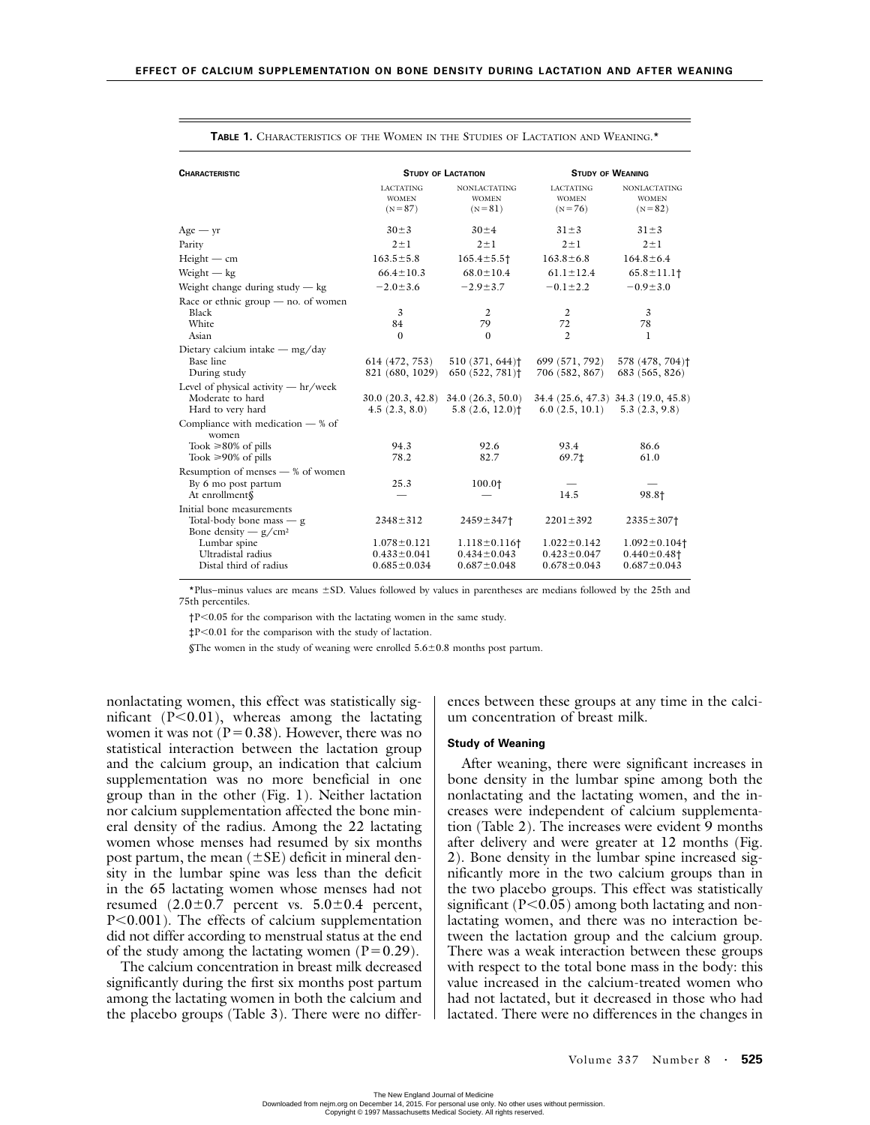| <b>CHARACTERISTIC</b>                                                                                |                                                             | <b>STUDY OF LACTATION</b>                                                | <b>STUDY OF WEANING</b>                                     |                                                              |  |
|------------------------------------------------------------------------------------------------------|-------------------------------------------------------------|--------------------------------------------------------------------------|-------------------------------------------------------------|--------------------------------------------------------------|--|
|                                                                                                      | <b>LACTATING</b><br><b>WOMEN</b><br>$(N = 87)$              | <b>NONLACTATING</b><br><b>WOMEN</b><br>$(N = 81)$                        | <b>LACTATING</b><br><b>WOMEN</b><br>$(N = 76)$              | <b>NONLACTATING</b><br><b>WOMEN</b><br>$(N=82)$              |  |
| $Age - yr$                                                                                           | $30 \pm 3$                                                  | $30 \pm 4$                                                               | $31 \pm 3$                                                  | $31 \pm 3$                                                   |  |
| Parity                                                                                               | $2 \pm 1$                                                   | $2 \pm 1$                                                                | $2 \pm 1$                                                   | $2 \pm 1$                                                    |  |
| $Height - cm$                                                                                        | $163.5 \pm 5.8$                                             | $165.4 \pm 5.5$ †                                                        | $163.8 \pm 6.8$                                             | $164.8 \pm 6.4$                                              |  |
| Weight $-$ kg                                                                                        | $66.4 \pm 10.3$                                             | $68.0 \pm 10.4$                                                          | $61.1 \pm 12.4$                                             | $65.8 \pm 11.1$                                              |  |
| Weight change during study $-$ kg                                                                    | $-2.0 \pm 3.6$                                              | $-2.9 \pm 3.7$                                                           | $-0.1 \pm 2.2$                                              | $-0.9 \pm 3.0$                                               |  |
| Race or ethnic group $-$ no. of women<br>Black<br>White<br>Asian                                     | 3<br>84<br>$\Omega$                                         | 2<br>79<br>$\Omega$                                                      | 2<br>72<br>$\mathfrak{D}$                                   | 3<br>78<br>1                                                 |  |
| Dietary calcium intake $-\frac{mg}{day}$<br>Base line<br>During study                                | 614 (472, 753)<br>821 (680, 1029)                           | $510(371, 644)$ <sup>†</sup><br>650 (522, 781) <sup>†</sup>              | 699 (571, 792)<br>706 (582, 867)                            | 578 (478, 704) <sup>†</sup><br>683 (565, 826)                |  |
| Level of physical activity $-$ hr/week<br>Moderate to hard<br>Hard to very hard                      | 30.0(20.3, 42.8)<br>4.5(2.3, 8.0)                           | 34.0(26.3, 50.0)<br>5.8(2.6, 12.0)                                       | 6.0(2.5, 10.1)                                              | 34.4 (25.6, 47.3) 34.3 (19.0, 45.8)<br>5.3(2.3, 9.8)         |  |
| Compliance with medication — % of<br>women<br>Took $\geq 80\%$ of pills<br>Took $\geq 90\%$ of pills | 94.3<br>78.2                                                | 92.6<br>82.7                                                             | 93.4<br>69.7‡                                               | 86.6<br>61.0                                                 |  |
| Resumption of menses — % of women<br>By 6 mo post partum<br>At enrollment§                           | 25.3                                                        | 100.0†                                                                   | 14.5                                                        | 98.81                                                        |  |
| Initial bone measurements<br>Total-body bone mass — g<br>Bone density $- g/cm^2$                     | $2348 \pm 312$                                              | 2459±347†                                                                | $2201 \pm 392$                                              | $2335 \pm 307$ <sup>+</sup>                                  |  |
| Lumbar spine<br>Ultradistal radius<br>Distal third of radius                                         | $1.078 \pm 0.121$<br>$0.433 \pm 0.041$<br>$0.685 \pm 0.034$ | $1.118 \pm 0.116$ <sup>+</sup><br>$0.434 \pm 0.043$<br>$0.687 \pm 0.048$ | $1.022 \pm 0.142$<br>$0.423 \pm 0.047$<br>$0.678 \pm 0.043$ | $1.092 \pm 0.104$<br>$0.440 \pm 0.48$ †<br>$0.687 \pm 0.043$ |  |

**TABLE 1.** CHARACTERISTICS OF THE WOMEN IN THE STUDIES OF LACTATION AND WEANING.\*

\*Plus–minus values are means -SD. Values followed by values in parentheses are medians followed by the 25th and 75th percentiles.

 $\dagger$ P<0.05 for the comparison with the lactating women in the same study.

‡P0.01 for the comparison with the study of lactation.

 $$$ The women in the study of weaning were enrolled  $5.6 \pm 0.8$  months post partum.

nonlactating women, this effect was statistically significant  $(P<0.01)$ , whereas among the lactating women it was not ( $P=0.38$ ). However, there was no statistical interaction between the lactation group and the calcium group, an indication that calcium supplementation was no more beneficial in one group than in the other (Fig. 1). Neither lactation nor calcium supplementation affected the bone mineral density of the radius. Among the 22 lactating women whose menses had resumed by six months post partum, the mean  $(\pm SE)$  deficit in mineral density in the lumbar spine was less than the deficit in the 65 lactating women whose menses had not resumed  $(2.0\pm0.7)$  percent vs.  $5.0\pm0.4$  percent, P<0.001). The effects of calcium supplementation did not differ according to menstrual status at the end of the study among the lactating women ( $P=0.29$ ).

The calcium concentration in breast milk decreased significantly during the first six months post partum among the lactating women in both the calcium and the placebo groups (Table 3). There were no differences between these groups at any time in the calcium concentration of breast milk.

### **Study of Weaning**

After weaning, there were significant increases in bone density in the lumbar spine among both the nonlactating and the lactating women, and the increases were independent of calcium supplementation (Table 2). The increases were evident 9 months after delivery and were greater at 12 months (Fig. 2). Bone density in the lumbar spine increased significantly more in the two calcium groups than in the two placebo groups. This effect was statistically significant ( $P<0.05$ ) among both lactating and nonlactating women, and there was no interaction between the lactation group and the calcium group. There was a weak interaction between these groups with respect to the total bone mass in the body: this value increased in the calcium-treated women who had not lactated, but it decreased in those who had lactated. There were no differences in the changes in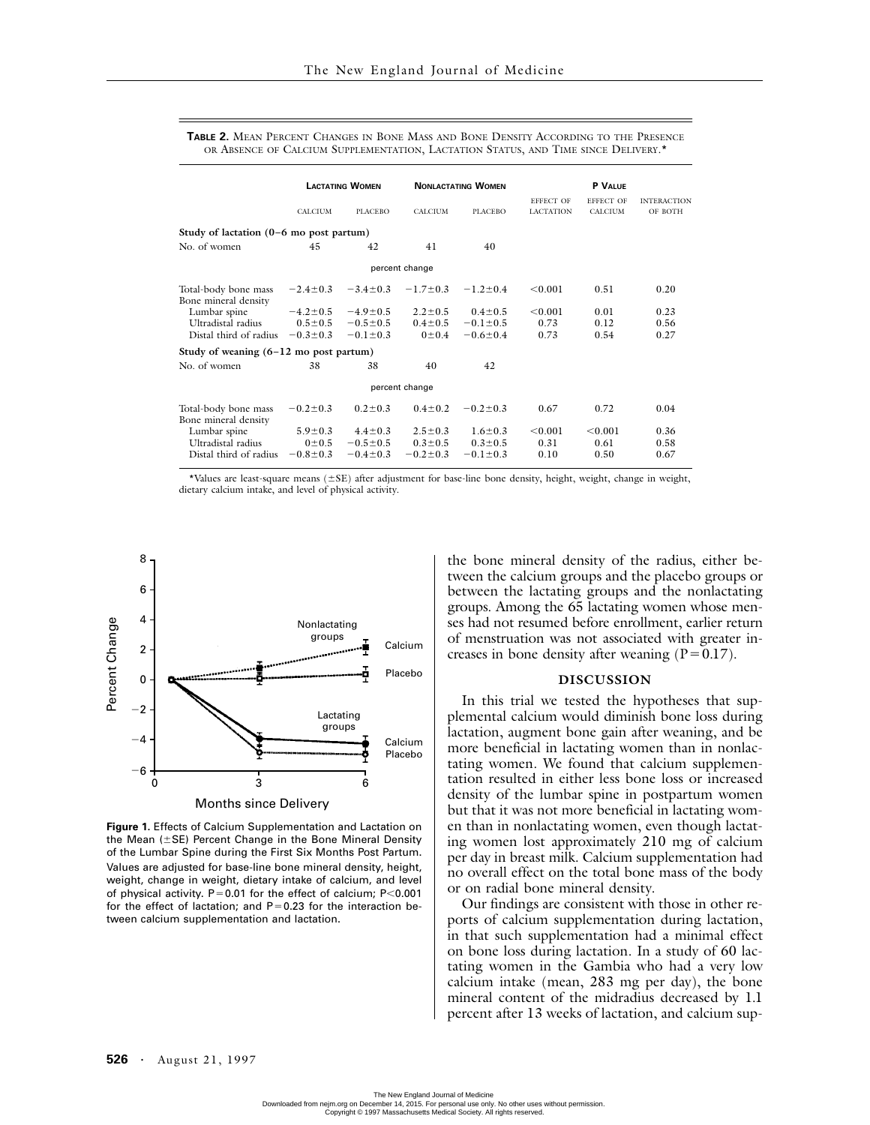|                                                   | <b>LACTATING WOMEN</b> |                | <b>NONLACTATING WOMEN</b> |                | P VALUE          |                  |                    |
|---------------------------------------------------|------------------------|----------------|---------------------------|----------------|------------------|------------------|--------------------|
|                                                   |                        |                |                           |                | <b>EFFECT OF</b> | <b>EFFECT OF</b> | <b>INTERACTION</b> |
|                                                   | CALCIUM                | <b>PLACEBO</b> | <b>CALCIUM</b>            | <b>PLACEBO</b> | <b>LACTATION</b> | CALCIUM          | OF BOTH            |
| Study of lactation $(0-6 \text{ mo post partum})$ |                        |                |                           |                |                  |                  |                    |
| No. of women                                      | 45                     | 42             | 41                        | 40             |                  |                  |                    |
| percent change                                    |                        |                |                           |                |                  |                  |                    |
| Total-body bone mass<br>Bone mineral density      | $-2.4 \pm 0.3$         | $-3.4 \pm 0.3$ | $-1.7 \pm 0.3$            | $-1.2 \pm 0.4$ | < 0.001          | 0.51             | 0.20               |
| Lumbar spine                                      | $-4.2 \pm 0.5$         | $-4.9 \pm 0.5$ | $2.2 \pm 0.5$             | $0.4 \pm 0.5$  | < 0.001          | 0.01             | 0.23               |
| Ultradistal radius                                | $0.5 \pm 0.5$          | $-0.5 \pm 0.5$ | $0.4 \pm 0.5$             | $-0.1 \pm 0.5$ | 0.73             | 0.12             | 0.56               |
| Distal third of radius                            | $-0.3 \pm 0.3$         | $-0.1 \pm 0.3$ | $0 \pm 0.4$               | $-0.6 \pm 0.4$ | 0.73             | 0.54             | 0.27               |
| Study of weaning $(6-12 \text{ mo post partum})$  |                        |                |                           |                |                  |                  |                    |
| No. of women                                      | 38                     | 38             | 40                        | 42             |                  |                  |                    |
| percent change                                    |                        |                |                           |                |                  |                  |                    |
| Total-body bone mass<br>Bone mineral density      | $-0.2 \pm 0.3$         | $0.2 \pm 0.3$  | $0.4 \pm 0.2$             | $-0.2 \pm 0.3$ | 0.67             | 0.72             | 0.04               |
| Lumbar spine                                      | $5.9 \pm 0.3$          | $4.4 \pm 0.3$  | $2.5 \pm 0.3$             | $1.6 \pm 0.3$  | < 0.001          | < 0.001          | 0.36               |
| Ultradistal radius                                | 0:0.5                  | $-0.5 \pm 0.5$ | $0.3 \pm 0.5$             | $0.3 \pm 0.5$  | 0.31             | 0.61             | 0.58               |
| Distal third of radius                            | $-0.8 \pm 0.3$         | $-0.4 \pm 0.3$ | $-0.2 \pm 0.3$            | $-0.1 \pm 0.3$ | 0.10             | 0.50             | 0.67               |

**TABLE 2.** MEAN PERCENT CHANGES IN BONE MASS AND BONE DENSITY ACCORDING TO THE PRESENCE OR ABSENCE OF CALCIUM SUPPLEMENTATION, LACTATION STATUS, AND TIME SINCE DELIVERY.\*

\*Values are least-square means  $(\pm SE)$  after adjustment for base-line bone density, height, weight, change in weight, dietary calcium intake, and level of physical activity.



**Figure 1.** Effects of Calcium Supplementation and Lactation on the Mean ( $\pm$ SE) Percent Change in the Bone Mineral Density of the Lumbar Spine during the First Six Months Post Partum. Values are adjusted for base-line bone mineral density, height, weight, change in weight, dietary intake of calcium, and level of physical activity.  $P=0.01$  for the effect of calcium;  $P<0.001$ for the effect of lactation; and  $P=0.23$  for the interaction between calcium supplementation and lactation.

the bone mineral density of the radius, either between the calcium groups and the placebo groups or between the lactating groups and the nonlactating groups. Among the 65 lactating women whose menses had not resumed before enrollment, earlier return of menstruation was not associated with greater increases in bone density after weaning  $(P=0.17)$ .

# **DISCUSSION**

In this trial we tested the hypotheses that supplemental calcium would diminish bone loss during lactation, augment bone gain after weaning, and be more beneficial in lactating women than in nonlactating women. We found that calcium supplementation resulted in either less bone loss or increased density of the lumbar spine in postpartum women but that it was not more beneficial in lactating women than in nonlactating women, even though lactating women lost approximately 210 mg of calcium per day in breast milk. Calcium supplementation had no overall effect on the total bone mass of the body or on radial bone mineral density.

Our findings are consistent with those in other reports of calcium supplementation during lactation, in that such supplementation had a minimal effect on bone loss during lactation. In a study of 60 lactating women in the Gambia who had a very low calcium intake (mean, 283 mg per day), the bone mineral content of the midradius decreased by 1.1 percent after 13 weeks of lactation, and calcium sup-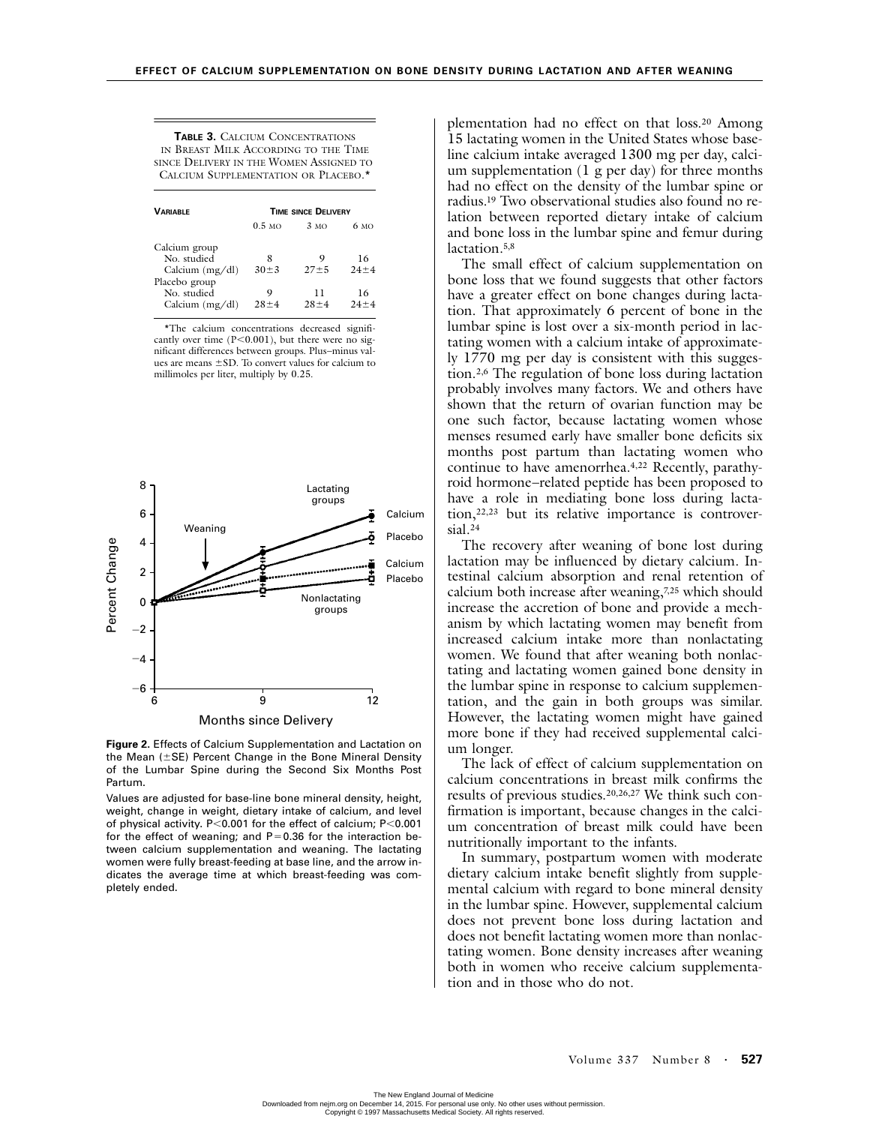| <b>TABLE 3. CALCIUM CONCENTRATIONS</b>  |
|-----------------------------------------|
| IN BREAST MILK ACCORDING TO THE TIME    |
| SINCE DELIVERY IN THE WOMEN ASSIGNED TO |
| CALCIUM SUPPLEMENTATION OR PLACEBO.*    |

| <b><i>VARIABLE</i></b>                            | <b>TIME SINCE DELIVERY</b> |                |                |  |  |
|---------------------------------------------------|----------------------------|----------------|----------------|--|--|
|                                                   | $0.5$ MO                   | 3MO            | 6 мо           |  |  |
| Calcium group<br>No. studied<br>Calcium $(mg/dl)$ | 8<br>$30 \pm 3$            | 9<br>$27 + 5$  | 16<br>$24 + 4$ |  |  |
| Placebo group<br>No. studied<br>Calcium $(mg/dl)$ | 9<br>$28 + 4$              | 11<br>$28 + 4$ | 16<br>$24 + 4$ |  |  |

\*The calcium concentrations decreased significantly over time  $(P<0.001)$ , but there were no significant differences between groups. Plus–minus values are means  $\pm$ SD. To convert values for calcium to millimoles per liter, multiply by 0.25.



**Figure 2.** Effects of Calcium Supplementation and Lactation on the Mean ( $\pm$ SE) Percent Change in the Bone Mineral Density of the Lumbar Spine during the Second Six Months Post Partum.

Values are adjusted for base-line bone mineral density, height, weight, change in weight, dietary intake of calcium, and level of physical activity. P<0.001 for the effect of calcium;  $P<0.001$ for the effect of weaning; and  $P=0.36$  for the interaction between calcium supplementation and weaning. The lactating women were fully breast-feeding at base line, and the arrow indicates the average time at which breast-feeding was completely ended.

plementation had no effect on that loss.20 Among 15 lactating women in the United States whose baseline calcium intake averaged 1300 mg per day, calcium supplementation (1 g per day) for three months had no effect on the density of the lumbar spine or radius.19 Two observational studies also found no relation between reported dietary intake of calcium and bone loss in the lumbar spine and femur during lactation.5,8

The small effect of calcium supplementation on bone loss that we found suggests that other factors have a greater effect on bone changes during lactation. That approximately 6 percent of bone in the lumbar spine is lost over a six-month period in lactating women with a calcium intake of approximately 1770 mg per day is consistent with this suggestion.2,6 The regulation of bone loss during lactation probably involves many factors. We and others have shown that the return of ovarian function may be one such factor, because lactating women whose menses resumed early have smaller bone deficits six months post partum than lactating women who continue to have amenorrhea.4,22 Recently, parathyroid hormone–related peptide has been proposed to have a role in mediating bone loss during lactation,22,23 but its relative importance is controversial.24

The recovery after weaning of bone lost during lactation may be influenced by dietary calcium. Intestinal calcium absorption and renal retention of calcium both increase after weaning,7,25 which should increase the accretion of bone and provide a mechanism by which lactating women may benefit from increased calcium intake more than nonlactating women. We found that after weaning both nonlactating and lactating women gained bone density in the lumbar spine in response to calcium supplementation, and the gain in both groups was similar. However, the lactating women might have gained more bone if they had received supplemental calcium longer.

The lack of effect of calcium supplementation on calcium concentrations in breast milk confirms the results of previous studies.20,26,27 We think such confirmation is important, because changes in the calcium concentration of breast milk could have been nutritionally important to the infants.

In summary, postpartum women with moderate dietary calcium intake benefit slightly from supplemental calcium with regard to bone mineral density in the lumbar spine. However, supplemental calcium does not prevent bone loss during lactation and does not benefit lactating women more than nonlactating women. Bone density increases after weaning both in women who receive calcium supplementation and in those who do not.